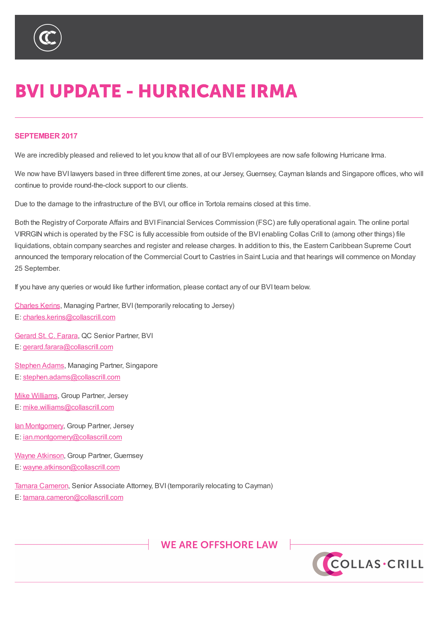

## **BVI UPDATE - HURRICANE IRMA**

## **SEPTEMBER 2017**

We are incredibly pleased and relieved to let you know that all of our BVI employees are now safe following Hurricane Irma.

We now have BVI lawyers based in three different time zones, at our Jersey, Guernsey, Cayman Islands and Singapore offices, who will continue to provide round-the-clock support to our clients.

Due to the damage to the infrastructure of the BVI, our office in Tortola remains closed at this time.

Both the Registry of Corporate Affairs and BVI Financial Services Commission (FSC) are fully operational again. The online portal VIRRGIN which is operated by the FSC is fully accessible from outside of the BVI enabling Collas Crill to (among other things) file liquidations, obtain company searches and register and release charges. In addition to this, the Eastern Caribbean Supreme Court announced the temporary relocation of the Commercial Court to Castries in Saint Lucia and that hearings will commence on Monday 25 September.

If you have any queries or would like further information, please contact any of our BVI team below.

Charles Kerins, Managing Partner, BVI(temporarily relocating to Jersey) E: charles.kerins@collascrill.com

Gerard St. C. Farara, QC Senior Partner, BVI E: [gerard.farar](https://www.collascrill.com/news-updates/articles/bvi-update-an-update-on-our-bvi-office/?altTemplate=pdfDocument#)[a@collascrill.com](mailto:charles.kerins@collascrill.com)

Stephen Adams, Managing Partner, Singapore E: [stephen.adams@](https://www.collascrill.com/news-updates/articles/bvi-update-an-update-on-our-bvi-office/?altTemplate=pdfDocument#)[collascrill.co](mailto:gerard.farara@collascrill.com)m

Mike Williams, Group Partner, Jersey E: [mike.williams](https://www.collascrill.com/news-updates/articles/bvi-update-an-update-on-our-bvi-office/?altTemplate=pdfDocument#)[@collascrill.com](mailto:stephen.adams@collascrill.com)

lan Montgomery, Group Partner, Jersey

E: [ian.montgo](https://www.collascrill.com/who-we-are/w/mike-williams/)[mery@collascrill.co](mailto:mike.williams@collascrill.com)m

Wayne Atkinson, Group Partner, Guernsey

E: [wayne.atkins](https://www.collascrill.com/news-updates/articles/bvi-update-an-update-on-our-bvi-office/?altTemplate=pdfDocument#)[on@collascrill.com](mailto:ian.montgomery@collascrill.com)

Tamara Cameron, Senior Associate Attorney, BVI(temporarily relocating to Cayman) E: [tamara.came](https://www.collascrill.com/who-we-are/a/wayne-atkinson/)[ron@collascrill.com](mailto:wayne.atkinson@collascrill.com)



7KLV QRWH LV D VXPPDU\RI WKH VXEMHFW DQG LV SURYLGHG IRU LQIRUPDWLRQ R EH VRXJKW:KLOVWHYHU\FDUH KDVEHHQ WDNHQLQ SURGXFLQJWKLVQRWH QHL PDWWHUV VHW RXW LQ LW \$00 FRS\ULJKW LQ WKLV PDWHULDO EHORQJV WR &ROO